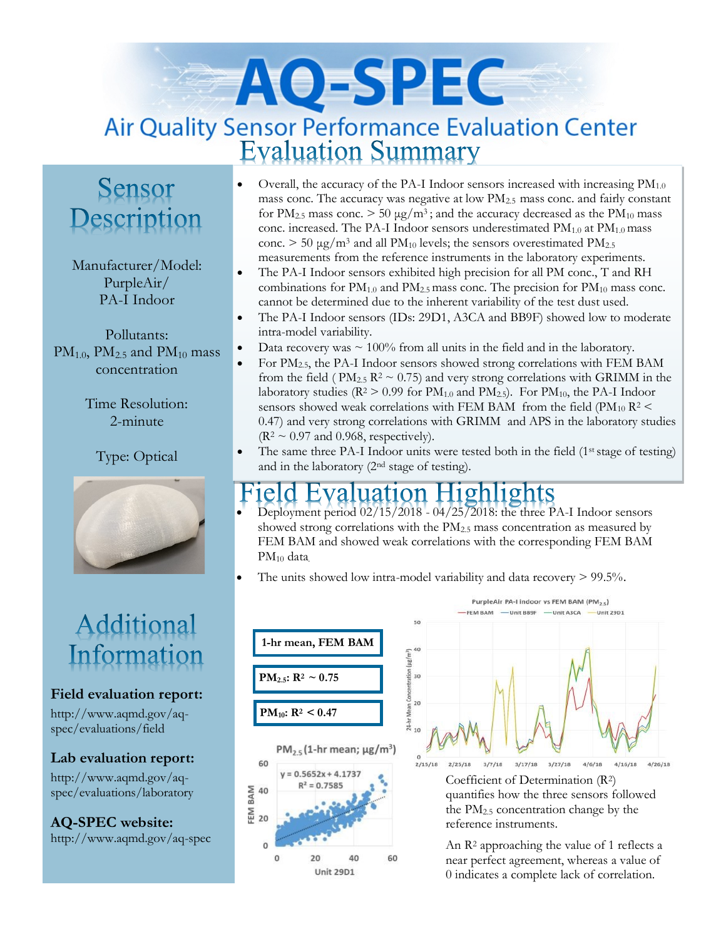# AQ-SPEC Air Quality Sensor Performance Evaluation Center<br>Evaluation Summary

### Sensor Description

Manufacturer/Model: PurpleAir/ PA-I Indoor

Pollutants:  $PM<sub>1.0</sub>$ ,  $PM<sub>2.5</sub>$  and  $PM<sub>10</sub>$  mass concentration

> Time Resolution: 2-minute

Type: Optical



## Additional Information

#### **Field evaluation report:**

http://www.aqmd.gov/aqspec/evaluations/field

**Lab evaluation report:**

http://www.aqmd.gov/aqspec/evaluations/laboratory

**AQ-SPEC website:**  http://www.aqmd.gov/aq-spec

- Overall, the accuracy of the PA-I Indoor sensors increased with increasing  $PM_{1,0}$ mass conc. The accuracy was negative at low PM2.5 mass conc. and fairly constant for  $PM_{2.5}$  mass conc.  $> 50 \mu g/m^3$ ; and the accuracy decreased as the  $PM_{10}$  mass conc. increased. The PA-I Indoor sensors underestimated  $PM_{1.0}$  at  $PM_{1.0}$  mass conc.  $> 50 \mu g/m^3$  and all PM<sub>10</sub> levels; the sensors overestimated PM<sub>2.5</sub> measurements from the reference instruments in the laboratory experiments.
- The PA-I Indoor sensors exhibited high precision for all PM conc., T and RH combinations for  $PM_{1,0}$  and  $PM_{2,5}$  mass conc. The precision for  $PM_{10}$  mass conc. cannot be determined due to the inherent variability of the test dust used.
- The PA-I Indoor sensors (IDs: 29D1, A3CA and BB9F) showed low to moderate intra-model variability.
- Data recovery was  $\sim 100\%$  from all units in the field and in the laboratory.
- For PM2.5, the PA-I Indoor sensors showed strong correlations with FEM BAM from the field ( $PM_{2.5}$   $R^2 \sim 0.75$ ) and very strong correlations with GRIMM in the laboratory studies ( $R^2 > 0.99$  for  $PM_{1,0}$  and  $PM_{2,5}$ ). For  $PM_{10}$ , the PA-I Indoor sensors showed weak correlations with FEM BAM from the field ( $PM_{10}$   $R^2$  < 0.47) and very strong correlations with GRIMM and APS in the laboratory studies  $(R^2 \sim 0.97$  and 0.968, respectively).
- The same three PA-I Indoor units were tested both in the field  $(1<sup>st</sup> stage of testing)$ and in the laboratory  $(2<sup>nd</sup> stage of testing).$

#### Evaluation Highlights Field

- Deployment period 02/15/2018 04/25/2018: the three PA-I Indoor sensors showed strong correlations with the PM2.5 mass concentration as measured by FEM BAM and showed weak correlations with the corresponding FEM BAM PM<sup>10</sup> data.
- The units showed low intra-model variability and data recovery  $> 99.5\%$ .





Coefficient of Determination (R2) quantifies how the three sensors followed the PM2.5 concentration change by the reference instruments.

An R<sup>2</sup> approaching the value of 1 reflects a near perfect agreement, whereas a value of 0 indicates a complete lack of correlation.